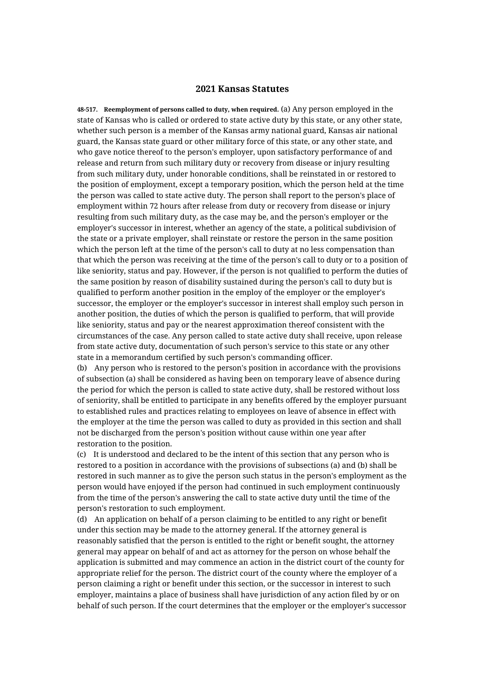## **2021 Kansas Statutes**

**48-517. Reemployment of persons called to duty, when required.** (a) Any person employed in the state of Kansas who is called or ordered to state active duty by this state, or any other state, whether such person is a member of the Kansas army national guard, Kansas air national guard, the Kansas state guard or other military force of this state, or any other state, and who gave notice thereof to the person's employer, upon satisfactory performance of and release and return from such military duty or recovery from disease or injury resulting from such military duty, under honorable conditions, shall be reinstated in or restored to the position of employment, except a temporary position, which the person held at the time the person was called to state active duty. The person shall report to the person's place of employment within 72 hours after release from duty or recovery from disease or injury resulting from such military duty, as the case may be, and the person's employer or the employer's successor in interest, whether an agency of the state, a political subdivision of the state or a private employer, shall reinstate or restore the person in the same position which the person left at the time of the person's call to duty at no less compensation than that which the person was receiving at the time of the person's call to duty or to a position of like seniority, status and pay. However, if the person is not qualified to perform the duties of the same position by reason of disability sustained during the person's call to duty but is qualified to perform another position in the employ of the employer or the employer's successor, the employer or the employer's successor in interest shall employ such person in another position, the duties of which the person is qualified to perform, that will provide like seniority, status and pay or the nearest approximation thereof consistent with the circumstances of the case. Any person called to state active duty shall receive, upon release from state active duty, documentation of such person's service to this state or any other state in a memorandum certified by such person's commanding officer.

(b) Any person who is restored to the person's position in accordance with the provisions of subsection (a) shall be considered as having been on temporary leave of absence during the period for which the person is called to state active duty, shall be restored without loss of seniority, shall be entitled to participate in any benefits offered by the employer pursuant to established rules and practices relating to employees on leave of absence in effect with the employer at the time the person was called to duty as provided in this section and shall not be discharged from the person's position without cause within one year after restoration to the position.

(c) It is understood and declared to be the intent of this section that any person who is restored to a position in accordance with the provisions of subsections (a) and (b) shall be restored in such manner as to give the person such status in the person's employment as the person would have enjoyed if the person had continued in such employment continuously from the time of the person's answering the call to state active duty until the time of the person's restoration to such employment.

(d) An application on behalf of a person claiming to be entitled to any right or benefit under this section may be made to the attorney general. If the attorney general is reasonably satisfied that the person is entitled to the right or benefit sought, the attorney general may appear on behalf of and act as attorney for the person on whose behalf the application is submitted and may commence an action in the district court of the county for appropriate relief for the person. The district court of the county where the employer of a person claiming a right or benefit under this section, or the successor in interest to such employer, maintains a place of business shall have jurisdiction of any action filed by or on behalf of such person. If the court determines that the employer or the employer's successor